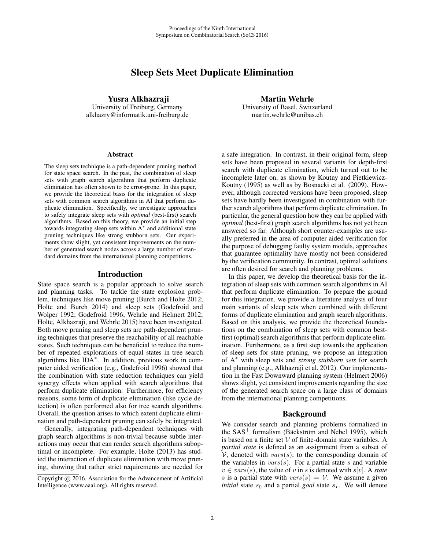# Sleep Sets Meet Duplicate Elimination

Yusra Alkhazraji University of Freiburg, Germany alkhazry@informatik.uni-freiburg.de

# Martin Wehrle University of Basel, Switzerland martin.wehrle@unibas.ch

#### **Abstract**

The sleep sets technique is a path-dependent pruning method for state space search. In the past, the combination of sleep sets with graph search algorithms that perform duplicate elimination has often shown to be error-prone. In this paper, we provide the theoretical basis for the integration of sleep sets with common search algorithms in AI that perform duplicate elimination. Specifically, we investigate approaches to safely integrate sleep sets with *optimal* (best-first) search algorithms. Based on this theory, we provide an initial step towards integrating sleep sets within A<sup>∗</sup> and additional state pruning techniques like strong stubborn sets. Our experiments show slight, yet consistent improvements on the number of generated search nodes across a large number of standard domains from the international planning competitions.

### Introduction

State space search is a popular approach to solve search and planning tasks. To tackle the state explosion problem, techniques like move pruning (Burch and Holte 2012; Holte and Burch 2014) and sleep sets (Godefroid and Wolper 1992; Godefroid 1996; Wehrle and Helmert 2012; Holte, Alkhazraji, and Wehrle 2015) have been investigated. Both move pruning and sleep sets are path-dependent pruning techniques that preserve the reachability of all reachable states. Such techniques can be beneficial to reduce the number of repeated explorations of equal states in tree search algorithms like IDA∗. In addition, previous work in computer aided verification (e.g., Godefroid 1996) showed that the combination with state reduction techniques can yield synergy effects when applied with search algorithms that perform duplicate elimination. Furthermore, for efficiency reasons, some form of duplicate elimination (like cycle detection) is often performed also for tree search algorithms. Overall, the question arises to which extent duplicate elimination and path-dependent pruning can safely be integrated.

Generally, integrating path-dependent techniques with graph search algorithms is non-trivial because subtle interactions may occur that can render search algorithms suboptimal or incomplete. For example, Holte (2013) has studied the interaction of duplicate elimination with move pruning, showing that rather strict requirements are needed for a safe integration. In contrast, in their original form, sleep sets have been proposed in several variants for depth-first search with duplicate elimination, which turned out to be incomplete later on, as shown by Koutny and Pietkiewicz-Koutny (1995) as well as by Bosnacki et al. (2009). However, although corrected versions have been proposed, sleep sets have hardly been investigated in combination with further search algorithms that perform duplicate elimination. In particular, the general question how they can be applied with *optimal* (best-first) graph search algorithms has not yet been answered so far. Although short counter-examples are usually preferred in the area of computer aided verification for the purpose of debugging faulty system models, approaches that guarantee optimality have mostly not been considered by the verification community. In contrast, optimal solutions are often desired for search and planning problems.

In this paper, we develop the theoretical basis for the integration of sleep sets with common search algorithms in AI that perform duplicate elimination. To prepare the ground for this integration, we provide a literature analysis of four main variants of sleep sets when combined with different forms of duplicate elimination and graph search algorithms. Based on this analysis, we provide the theoretical foundations on the combination of sleep sets with common bestfirst (optimal) search algorithms that perform duplicate elimination. Furthermore, as a first step towards the application of sleep sets for state pruning, we propose an integration of A<sup>∗</sup> with sleep sets and *strong stubborn sets* for search and planning (e.g., Alkhazraji et al. 2012). Our implementation in the Fast Downward planning system (Helmert 2006) shows slight, yet consistent improvements regarding the size of the generated search space on a large class of domains from the international planning competitions.

## Background

We consider search and planning problems formalized in the  $SAS^+$  formalism (Bäckström and Nebel 1995), which is based on a finite set  $V$  of finite-domain state variables. A *partial state* is defined as an assignment from a subset of  $V$ , denoted with  $vars(s)$ , to the corresponding domain of the variables in  $vars(s)$ . For a partial state s and variable  $v \in vars(s)$ , the value of v in s is denoted with  $s[v]$ . A *state* s is a partial state with  $vars(s) = V$ . We assume a given *initial* state  $s_0$  and a partial *goal* state  $s_{\star}$ . We will denote

Copyright  $\odot$  2016, Association for the Advancement of Artificial Intelligence (www.aaai.org). All rights reserved.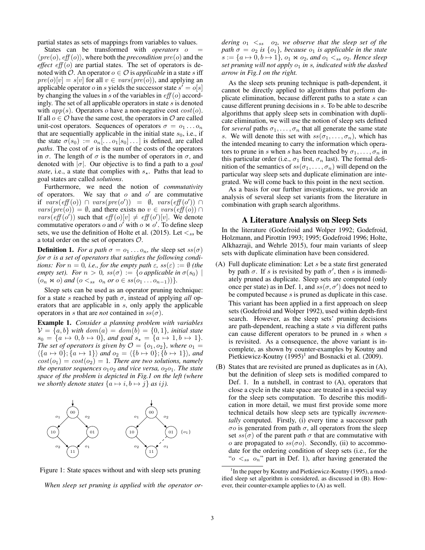partial states as sets of mappings from variables to values.

States can be transformed with *operators* o  $\langle pre(o), eff(o) \rangle$ , where both the *precondition*  $pre(o)$  and the *effect*  $eff(o)$  are partial states. The set of operators is denoted with  $\mathcal{O}$ . An operator  $o \in \mathcal{O}$  is *applicable* in a state s iff  $pre(o)[v] = s[v]$  for all  $v \in vars(pre(o))$ , and applying an applicable operator o in s yields the successor state  $s' = o[s]$ by changing the values in s of the variables in  $eff$  (o) accordingly. The set of all applicable operators in state  $s$  is denoted with  $app(s)$ . Operators o have a non-negative cost  $cost(o)$ . If all  $o \in \mathcal{O}$  have the same cost, the operators in  $\mathcal{O}$  are called unit-cost operators. Sequences of operators  $\sigma = 0_1 \dots 0_n$ that are sequentially applicable in the initial state  $s_0$ , i.e., if the state  $\sigma(s_0) := o_n[...o_1[s_0]...]$  is defined, are called *paths*. The cost of  $\sigma$  is the sum of the costs of the operators in  $\sigma$ . The length of  $\sigma$  is the number of operators in  $\sigma$ , and denoted with |σ|. Our objective is to find a path to a *goal state*, i.e., a state that complies with  $s_{\star}$ . Paths that lead to see states are called solutions. goal states are called *solutions*.

Furthermore, we need the notion of *commutativity* of operators. We say that  $o$  and  $o'$  are commutative if  $vars(eff(o))$   $\cap$   $vars(pre(o'))$  =  $\emptyset$ ,  $vars(eff(o'))$  $vars(pre(o)) = \emptyset$ , and there exists no  $v \in vars(eff(o)) \cap$  $vars($ eff  $(o')$  such that  $eff(o)[v] \neq eff(o')[v]$ . We denote commutative operators  $o$  and  $o'$  with  $o \times o'$ . To define sleep sets, we use the definition of Holte et al. (2015). Let  $\lt_{ss}$  be a total order on the set of operators O.

**Definition 1.** *For a path*  $\sigma = o_1 \dots o_n$ *, the sleep set ss(* $\sigma$ *) for* σ *is a set of operators that satisfies the following conditions: For*  $n = 0$ *, i.e., for the empty path*  $\varepsilon$ *, ss*( $\varepsilon$ ) :=  $\emptyset$  *(the empty set). For*  $n > 0$ ,  $ss(\sigma) := \{o \text{ applicable in } \sigma(s_0) \mid$  $(o_n \bowtie o)$  *and*  $(o <_{ss} o_n$  *or*  $o \in ss(o_1 \dots o_{n-1}))$ *.* 

Sleep sets can be used as an operator pruning technique: for a state s reached by path  $\sigma$ , instead of applying *all* operators that are applicable in s, only apply the applicable operators in s that are *not* contained in  $ss(\sigma)$ .

Example 1. *Consider a planning problem with variables*  $V = \{a, b\}$  with  $dom(a) = dom(b) = \{0, 1\}$ , initial state  $s_0 = \{a \mapsto 0, b \mapsto 0\}$ , and goal  $s_\star = \{a \mapsto 1, b \mapsto 1\}$ .<br>The set of operators is given by  $\mathcal{O} = \{a, a\}$ , where  $a_0 =$ *The set of operators is given by*  $\mathcal{O} = \{o_1, o_2\}$ *, where*  $o_1 =$  $\langle \{a \mapsto 0\}; \{a \mapsto 1\} \rangle$  and  $o_2 = \langle \{b \mapsto 0\}; \{b \mapsto 1\} \rangle$ , and  $cost(o_1) = cost(o_2) = 1$ . There are two solutions, namely *the operator sequences*  $o_1o_2$  *and vice versa,*  $o_2o_1$ *. The state space of the problem is depicted in Fig.1 on the left (where we shortly denote states*  $\{a \mapsto i, b \mapsto j\}$  *as ij*).



Figure 1: State spaces without and with sleep sets pruning

*When sleep set pruning is applied with the operator or-*

*dering*  $o_1 \, \leq_{ss} \, o_2$ *, we observe that the sleep set of the path*  $\sigma = o_2$  *is*  $\{o_1\}$ *, because*  $o_1$  *is applicable in the state*  $s := \{a \mapsto 0, b \mapsto 1\}$ ,  $o_1 \Join o_2$ , and  $o_1 <_{ss} o_2$ . Hence sleep *set pruning will not apply*  $o_1$  *in s, indicated with the dashed arrow in Fig.1 on the right.*

As the sleep sets pruning technique is path-dependent, it cannot be directly applied to algorithms that perform duplicate elimination, because different paths to a state  $s$  can cause different pruning decisions in s. To be able to describe algorithms that apply sleep sets in combination with duplicate elimination, we will use the notion of sleep sets defined for *several* paths  $\sigma_1, \ldots, \sigma_n$  that all generate the same state s. We will denote this set with  $ss(\sigma_1,\ldots,\sigma_n)$ , which has the intended meaning to carry the information which operators to prune in s when s has been reached by  $\sigma_1, \ldots, \sigma_n$  in this particular order (i.e.,  $\sigma_1$  first,  $\sigma_n$  last). The formal definition of the semantics of  $ss(\sigma_1,\ldots,\sigma_n)$  will depend on the particular way sleep sets and duplicate elimination are integrated. We will come back to this point in the next section.

As a basis for our further investigations, we provide an analysis of several sleep set variants from the literature in combination with graph search algorithms.

#### A Literature Analysis on Sleep Sets

In the literature (Godefroid and Wolper 1992; Godefroid, Holzmann, and Pirottin 1993; 1995; Godefroid 1996; Holte, Alkhazraji, and Wehrle 2015), four main variants of sleep sets with duplicate elimination have been considered.

- (A) Full duplicate elimination: Let s be a state first generated by path  $\sigma$ . If s is revisited by path  $\sigma'$ , then s is immediately pruned as duplicate. Sleep sets are computed (only once per state) as in Def. 1, and  $ss(\sigma, \sigma')$  does not need to be computed because s is pruned as duplicate in this case. This variant has been applied in a first approach on sleep sets (Godefroid and Wolper 1992), used within depth-first search. However, as the sleep sets' pruning decisions are path-dependent, reaching a state s via different paths can cause different operators to be pruned in s when s is revisited. As a consequence, the above variant is incomplete, as shown by counter-examples by Koutny and Pietkiewicz-Koutny  $(1995)^1$  and Bosnacki et al. (2009).
- (B) States that are revisited are pruned as duplicates as in (A), but the definition of sleep sets is modified compared to Def. 1. In a nutshell, in contrast to (A), operators that close a cycle in the state space are treated in a special way for the sleep sets computation. To describe this modification in more detail, we must first provide some more technical details how sleep sets are typically *incrementally* computed. Firstly, (i) every time a successor path  $\sigma$ o is generated from path  $\sigma$ , all operators from the sleep set  $ss(\sigma)$  of the parent path  $\sigma$  that are commutative with *o* are propagated to  $ss(\sigma o)$ . Secondly, (ii) to accommodate for the ordering condition of sleep sets (i.e., for the " $o \lt s_s$  o<sub>n</sub>" part in Def. 1), after having generated the

<sup>&</sup>lt;sup>1</sup> In the paper by Koutny and Pietkiewicz-Koutny (1995), a modified sleep set algorithm is considered, as discussed in (B). However, their counter-example applies to (A) as well.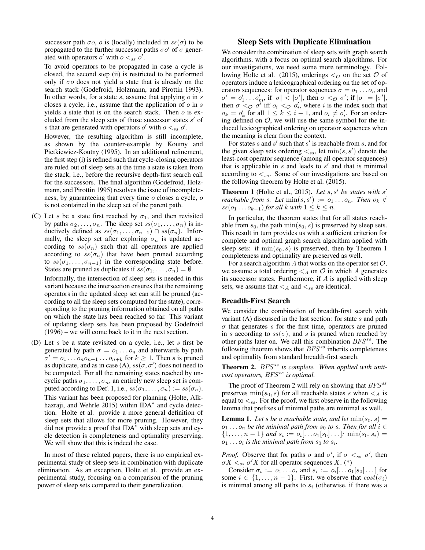successor path  $\sigma$ o, o is (locally) included in  $ss(\sigma)$  to be propagated to the further successor paths  $\sigma o'$  of  $\sigma$  generated with operators  $o'$  with  $o <_{ss} o'$ .

To avoid operators to be propagated in case a cycle is closed, the second step (ii) is restricted to be performed only if  $\sigma$  does not yield a state that is already on the search stack (Godefroid, Holzmann, and Pirottin 1993). In other words, for a state s, assume that applying  $\varphi$  in s closes a cycle, i.e., assume that the application of  $\sigma$  in s yields a state that is on the search stack. Then  $o$  is excluded from the sleep sets of those successor states  $s'$  of s that are generated with operators  $o'$  with  $o <_{ss} o'$ .

However, the resulting algorithm is still incomplete, as shown by the counter-example by Koutny and Pietkiewicz-Koutny (1995). In an additional refinement, the first step (i) is refined such that cycle-closing operators are ruled out of sleep sets at the time a state is taken from the stack, i.e., before the recursive depth-first search call for the successors. The final algorithm (Godefroid, Holzmann, and Pirottin 1995) resolves the issue of incompleteness, by guaranteeing that every time o closes a cycle, o is not contained in the sleep set of the parent path.

- (C) Let s be a state first reached by  $\sigma_1$ , and then revisited by paths  $\sigma_2, \ldots, \sigma_n$ . The sleep set  $ss(\sigma_1, \ldots, \sigma_n)$  is inductively defined as  $ss(\sigma_1,\ldots,\sigma_{n-1}) \cap ss(\sigma_n)$ . Informally, the sleep set after exploring  $\sigma_n$  is updated according to  $ss(\sigma_n)$  such that all operators are applied according to  $ss(\sigma_n)$  that have been pruned according to  $ss(\sigma_1,\ldots,\sigma_{n-1})$  in the corresponding state before. States are pruned as duplicates if  $ss(\sigma_1,\ldots,\sigma_n)=\emptyset$ . Informally, the intersection of sleep sets is needed in this variant because the intersection ensures that the remaining operators in the updated sleep set can still be pruned (according to all the sleep sets computed for the state), corresponding to the pruning information obtained on all paths on which the state has been reached so far. This variant of updating sleep sets has been proposed by Godefroid (1996) – we will come back to it in the next section.
- (D) Let  $s$  be a state revisited on a cycle, i.e., let  $s$  first be generated by path  $\sigma = o_1 \dots o_n$  and afterwards by path  $\sigma' = o_1 \dots o_n o_{n+1} \dots o_{n+k}$  for  $k \geq 1$ . Then s is pruned as duplicate, and as in case (A),  $ss(\sigma, \sigma')$  does not need to be computed. For all the remaining states reached by uncyclic paths  $\sigma_1, \ldots, \sigma_n$ , an entirely new sleep set is computed according to Def. 1, i.e.,  $ss(\sigma_1,\ldots,\sigma_n) := ss(\sigma_n)$ . This variant has been proposed for planning (Holte, Alkhazraji, and Wehrle 2015) within IDA<sup>∗</sup> and cycle detection. Holte et al. provide a more general definition of sleep sets that allows for more pruning. However, they did not provide a proof that IDA<sup>∗</sup> with sleep sets and cycle detection is completeness and optimality preserving. We will show that this is indeed the case.

In most of these related papers, there is no empirical experimental study of sleep sets in combination with duplicate elimination. As an exception, Holte et al. provide an experimental study, focusing on a comparison of the pruning power of sleep sets compared to their generalization.

# Sleep Sets with Duplicate Elimination

We consider the combination of sleep sets with graph search algorithms, with a focus on optimal search algorithms. For our investigations, we need some more terminology. Following Holte et al. (2015), orderings  $\lt_{\mathcal{O}}$  on the set  $\mathcal O$  of operators induce a lexicographical ordering on the set of operators sequences: for operator sequences  $\sigma = o_1 \dots o_n$  and  $\sigma' = o'_1 \dots o'_m$ , if  $|\sigma| < |\sigma'|$ , then  $\sigma < \sigma \sigma'$ ; if  $|\sigma| = |\sigma'|$ ,<br>then  $\sigma < \sigma \sigma'$  iff  $o_1 < \sigma o'$ , where *i* is the index such that then  $\sigma <_{\mathcal{O}} \sigma'$  iff  $o_i <_{\mathcal{O}} o'_i$ , where i is the index such that  $o_i = o'_i$  for all  $1 \leq k \leq i-1$  and  $o_i \neq o'_i$ . For an order $o_k = o'_k$  for all  $1 \leq k \leq i-1$ , and  $o_i \neq o'_i$ . For an order-<br>ing defined on  $\mathcal O$  we will use the same symbol for the ining defined on  $\mathcal{O}$ , we will use the same symbol for the induced lexicographical ordering on operator sequences when the meaning is clear from the context.

For states s and s' such that s' is reachable from s, and for the given sleep sets ordering  $\lt_{ss}$ , let  $\min(s, s')$  denote the least-cost operator sequence (among all operator sequences) that is applicable in s and leads to  $s'$  and that is minimal according to  $\leq_{ss}$ . Some of our investigations are based on the following theorem by Holte et al. (2015).

**Theorem 1** (Holte et al., 2015). Let s, s' be states with s' *reachable from s. Let*  $\min(s, s') := o_1 \dots o_n$ . Then  $o_k \notin$  $ss(o_1 \ldots o_{k-1})$  *for all*  $k$  *with*  $1 \leq k \leq n$ *.* 

In particular, the theorem states that for all states reachable from  $s_0$ , the path  $\min(s_0, s)$  is preserved by sleep sets. This result in turn provides us with a sufficient criterion for complete and optimal graph search algorithm applied with sleep sets: if  $\min(s_0, s)$  is preserved, then by Theorem 1 completeness and optimality are preserved as well.

For a search algorithm A that works on the operator set  $\mathcal{O}$ , we assume a total ordering  $\leq_A$  on  $\mathcal O$  in which A generates its successor states. Furthermore, if  $A$  is applied with sleep sets, we assume that  $\lt_A$  and  $\lt_{ss}$  are identical.

### Breadth-First Search

We consider the combination of breadth-first search with variant  $(A)$  discussed in the last section: for state s and path  $\sigma$  that generates s for the first time, operators are pruned in s according to  $ss(\sigma)$ , and s is pruned when reached by other paths later on. We call this combination  $BFS^{ss}$ . The following theorem shows that  $BFS^{ss}$  inherits completeness and optimality from standard breadth-first search.

Theorem 2.  $BFS^{ss}$  is complete. When applied with unit*cost operators,* BFS<sup>ss</sup> is optimal.

The proof of Theorem 2 will rely on showing that  $BFS^{ss}$ preserves  $\min(s_0, s)$  for all reachable states s when  $\leq_A$  is equal to  $\lt_{ss}$ . For the proof, we first observe in the following lemma that prefixes of minimal paths are minimal as well.

**Lemma 1.** Let s be a reachable state, and let  $min(s_0, s) =$  $o_1 \ldots o_n$  *be the minimal path from*  $s_0$  *to s. Then for all*  $i \in$  $\{1,\ldots,n-1\}$  *and*  $s_i := o_i[...o_1[s_0]...]$ *:* min $(s_0,s_i)$  =  $o_1 \ldots o_i$  *is the minimal path from*  $s_0$  *to*  $s_i$ *.* 

*Proof.* Observe that for paths  $\sigma$  and  $\sigma'$ , if  $\sigma <_{ss} \sigma'$ , then  $\sigma X <_{ss} \sigma' X$  for all operator sequences X. (\*)

Consider  $\sigma_i := o_1 \dots o_i$  and  $s_i := o_i[\dots o_1[s_0] \dots]$  for some  $i \in \{1, \ldots, n-1\}$ . First, we observe that  $cost(\sigma_i)$ is minimal among all paths to  $s_i$  (otherwise, if there was a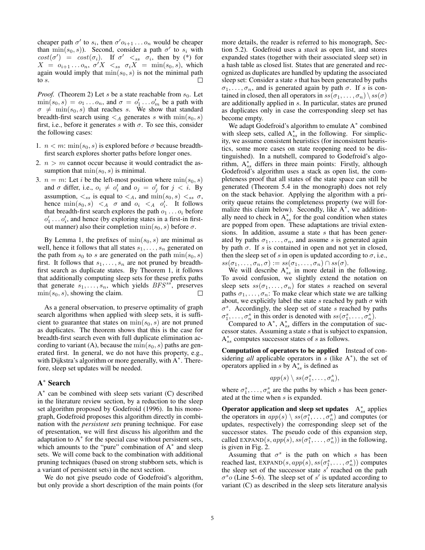cheaper path  $\sigma'$  to  $s_i$ , then  $\sigma' o_{i+1} \ldots o_n$  would be cheaper<br>than  $\min(s, s)$ ). Second, consider a path  $\sigma'$  to  $s_i$ , with than  $\min(s_0, s)$ ). Second, consider a path  $\sigma'$  to  $s_i$  with  $cost(\sigma') = cost(\sigma_i)$ . If  $\sigma' <_{ss} \sigma_i$ , then by (\*) for  $X = \text{cos} \sigma_i$  or  $X = \text{sin}(s, s)$ , which  $X = o_{i+1} \dots o_n$ ,  $\sigma' X \leq_{ss} \sigma_i X = \min(s_0, s)$ , which again would imply that  $\min(s_0, s)$  is not the minimal path to s.

*Proof.* (Theorem 2) Let s be a state reachable from  $s_0$ . Let  $\min(s_0, s) = o_1 \dots o_n$ , and  $\sigma = o'_1 \dots o'_m$  be a path with  $\sigma \neq \min(s_0, s)$  that reaches s. We show that standard  $\sigma \neq \min(s_0, s)$  that reaches s. We show that standard breadth-first search using  $\leq_A$  generates s with  $\min(s_0, s)$ first, i.e., before it generates s with  $\sigma$ . To see this, consider the following cases:

- 1.  $n < m$ : min $(s_0, s)$  is explored before  $\sigma$  because breadthfirst search explores shorter paths before longer ones.
- 2.  $n > m$  cannot occur because it would contradict the assumption that  $\min(s_0, s)$  is minimal.
- 3.  $n = m$ : Let *i* be the left-most position where  $\min(s_0, s)$ and  $\sigma$  differ, i.e.,  $o_i \neq o'_i$  and  $o_j = o'_j$  for  $j < i$ . By assumption,  $\lt_{ss}$  is equal to  $\lt_A$ , and  $\min(s_0, s) \lt_{ss} \sigma$ , hence  $\min(s_0, s) \leq A \sigma$  and  $o_i \leq A \ o'_i$ . It follows<br>that breadth-first search explores the path  $o_i$  and before that breadth-first search explores the path  $o_1 \ldots o_i$  before  $o'_1 \dots o'_i$ , and hence (by exploring states in a first-in first-<br>out manner) also their completion  $\min(s_0, s)$  before  $\sigma$ out manner) also their completion  $\min(s_0, s)$  before  $\sigma$ .

By Lemma 1, the prefixes of  $\min(s_0, s)$  are minimal as well, hence it follows that all states  $s_1, \ldots, s_n$  generated on the path from  $s_0$  to s are generated on the path  $\min(s_0, s)$ first. It follows that  $s_1, \ldots, s_n$  are not pruned by breadthfirst search as duplicate states. By Theorem 1, it follows that additionally computing sleep sets for these prefix paths that generate  $s_1, \ldots, s_n$ , which yields  $BFS^{ss}$ , preserves  $\min(s_0, s)$ , showing the claim.  $min(s_0, s)$ , showing the claim.

As a general observation, to preserve optimality of graph search algorithms when applied with sleep sets, it is sufficient to guarantee that states on  $\min(s_0, s)$  are not pruned as duplicates. The theorem shows that this is the case for breadth-first search even with full duplicate elimination according to variant (A), because the  $\min(s_0, s)$  paths are generated first. In general, we do not have this property, e.g., with Dijkstra's algorithm or more generally, with A<sup>\*</sup>. Therefore, sleep set updates will be needed.

## A∗ Search

A<sup>∗</sup> can be combined with sleep sets variant (C) described in the literature review section, by a reduction to the sleep set algorithm proposed by Godefroid (1996). In his monograph, Godefroid proposes this algorithm directly in combination with the *persistent sets* pruning technique. For ease of presentation, we will first discuss his algorithm and the adaptation to  $A^*$  for the special case without persistent sets, which amounts to the "pure" combination of  $A^*$  and sleep sets. We will come back to the combination with additional pruning techniques (based on strong stubborn sets, which is a variant of persistent sets) in the next section.

We do not give pseudo code of Godefroid's algorithm, but only provide a short description of the main points (for

more details, the reader is referred to his monograph, Section 5.2). Godefroid uses a *stack* as open list, and stores expanded states (together with their associated sleep set) in a hash table as closed list. States that are generated and recognized as duplicates are handled by updating the associated sleep set: Consider a state s that has been generated by paths  $\sigma_1, \ldots, \sigma_n$ , and is generated again by path  $\sigma$ . If s is contained in closed, then all operators in  $ss(\sigma_1,\ldots,\sigma_n) \setminus ss(\sigma)$ are additionally applied in s. In particular, states are pruned as duplicates only in case the corresponding sleep set has become empty.

We adapt Godefroid's algorithm to emulate A<sup>∗</sup> combined with sleep sets, called  $A_{ss}^*$  in the following. For simplicity, we assume consistent heuristics (for inconsistent heuristics, some more cases on state reopening need to be distinguished). In a nutshell, compared to Godefroid's algorithm,  $A_{ss}^*$  differs in three main points: Firstly, although Godefroid's algorithm uses a stack as open list, the completeness proof that all states of the state space can still be generated (Theorem 5.4 in the monograph) does not rely on the stack behavior. Applying the algorithm with a priority queue retains the completeness property (we will formalize this claim below). Secondly, like  $A^*$ , we additionally need to check in  $A_{ss}^*$  for the goal condition when states are popped from open. These adaptations are trivial extensions. In addition, assume a state s that has been generated by paths  $\sigma_1, \ldots, \sigma_n$ , and assume s is generated again by path  $\sigma$ . If s is contained in open and not yet in closed, then the sleep set of s in open is updated according to  $\sigma$ , i.e.,  $ss(\sigma_1,\ldots,\sigma_n,\sigma) := ss(\sigma_1,\ldots,\sigma_n) \cap ss(\sigma).$ 

We will describe  $A_{ss}^*$  in more detail in the following. To avoid confusion, we slightly extend the notation on sleep sets  $ss(\sigma_1,\ldots,\sigma_n)$  for states s reached on several paths  $\sigma_1, \ldots, \sigma_n$ : To make clear which state we are talking about, we explicitly label the state s reached by path  $\sigma$  with  $\sigma^s$ . Accordingly, the sleep set of state s reached by paths  $\sigma_1^s, \ldots, \sigma_n^s$  in this order is denoted with  $ss(\sigma_1^s, \ldots, \sigma_n^s)$ .<br>Compared to  $A^*$   $A^*$  differs in the computation of

Compared to  $A^*$ ,  $A^*_{ss}$  differs in the computation of successor states. Assuming a state s that is subject to expansion,  $A_{ss}^*$  computes successor states of s as follows.

Computation of operators to be applied Instead of considering *all* applicable operators in s (like A<sup>\*</sup>), the set of operators applied in  $s$  by  $A_{ss}^*$  is defined as

$$
app(s) \setminus ss(\sigma_1^s, \ldots, \sigma_n^s),
$$

where  $\sigma_1^s, \ldots, \sigma_n^s$  are the paths by which s has been gener-<br>ated at the time when s is expanded ated at the time when s is expanded.

Operator application and sleep set updates  $A_{ss}^*$  applies the operators in  $app(s) \setminus ss(\sigma_1^s, \ldots, \sigma_n^s)$  and computes (or updates, respectively) the corresponding sleep set of the successor states. The pseudo code of this expansion step, called EXPAND(s,  $app(s)$ ,  $ss(\sigma_1^s, \ldots, \sigma_n^s)$ ) in the following,<br>is given in Fig. 2 is given in Fig. 2.

Assuming that  $\sigma^s$  is the path on which s has been reached last,  $EXPAND(s, app(s), ss(\sigma_1^s, \ldots, \sigma_n^s))$  computes<br>the sleep set of the successor state s' reached on the path the sleep set of the successor state  $s'$  reached on the path  $\sigma^s$ o (Line 5–6). The sleep set of s' is updated according to variant (C) as described in the sleep sets literature analysis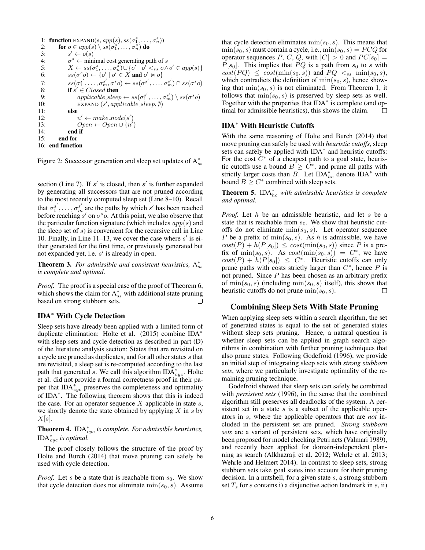```
1: function \text{EXPAND}(s, app(s), ss(\sigma_1^s, \ldots, \sigma_n^s))2: for o \in app(s) \setminus ss(\sigma_1^s, \ldots, \sigma_n^s) do
 3: s' \leftarrow o(s)<br>4: \sigma^s \leftarrow \min4: \sigma^s \leftarrow \text{minimal cost generating path of } s<br>5: X \leftarrow ss(\sigma_1^s, \dots, \sigma_n^s) \cup \{\sigma' \mid \sigma' <_{ss} \sigma \wedge \sigma_n^s\}5: X \leftarrow ss(\sigma_1^s, \ldots, \sigma_n^s) \cup \{o' \mid o' \lt_{ss} o \land o' \in app(s)\}6: ss(\sigma^s o) \leftarrow \{o' \mid o' \in X \text{ and } o' \bowtie o\}7: ss(\sigma_1^{s'}, \ldots, \sigma_m^{s'}, \sigma^s o) \leftarrow ss(\sigma_1^{s'}, \ldots, \sigma_m^{s'}) \cap ss(\sigma^s o)7: ss(\sigma_1^{s'}, \ldots, \sigma_m^{s'}, \sigma^s)<br>8: if s' \in Closed then<br>9: annlicable_sleet
  9: applicable\_sleep \leftarrow ss(\sigma_1^{s'}, \ldots, \sigma_m^{s'}) \setminus ss(\sigma^s o)10: EXPAND (s', applicable\_sleep, \emptyset)11: else<br>12:
12: n' \leftarrow make\_node(s')13: Open \leftarrow Open \cup \{n'\}14: end if
15: end for
16: end function
```
Figure 2: Successor generation and sleep set updates of  $A_{ss}^*$ 

section (Line 7). If s' is closed, then s' is further expanded by generating all successors that are not pruned according to the most recently computed sleep set (Line 8–10). Recall that  $\sigma_1^{s'}, \ldots, \sigma_m^{s'}$  are the paths by which s' has been reached before reaching s' on  $\sigma^s$ o. At this point, we also observe that the particular function signature (which includes  $app(s)$  and the sleep set of  $s$ ) is convenient for the recursive call in Line 10. Finally, in Line 11–13, we cover the case where  $s'$  is either generated for the first time, or previously generated but not expanded yet, i.e.  $s'$  is already in open.

**Theorem 3.** For admissible and consistent heuristics, A<sup>\*</sup><sub>ss</sub> *is complete and optimal.*

*Proof.* The proof is a special case of the proof of Theorem 6, which shows the claim for  $A_{ss}^*$  with additional state pruning based on strong stubborn sets.

#### IDA∗ With Cycle Detection

Sleep sets have already been applied with a limited form of duplicate elimination: Holte et al. (2015) combine IDA<sup>∗</sup> with sleep sets and cycle detection as described in part (D) of the literature analysis section: States that are revisited on a cycle are pruned as duplicates, and for all other states s that are revisited, a sleep set is re-computed according to the last path that generated s. We call this algorithm  $IDA_{cyc}^*$ . Holte et al. did not provide a formal correctness proof in their paper that  $IDA_{cyc}^*$  preserves the completeness and optimality of IDA∗. The following theorem shows that this is indeed the case. For an operator sequence  $X$  applicable in state  $s$ , we shortly denote the state obtained by applying  $X$  in  $s$  by  $X[s]$ .

Theorem 4. IDA<sup>∗</sup> cyc *is complete. For admissible heuristics,* IDA<sup>∗</sup> cyc *is optimal.*

The proof closely follows the structure of the proof by Holte and Burch (2014) that move pruning can safely be used with cycle detection.

*Proof.* Let s be a state that is reachable from  $s_0$ . We show that cycle detection does not eliminate  $\min(s_0, s)$ . Assume that cycle detection eliminates  $min(s_0, s)$ . This means that  $min(s_0, s)$  must contain a cycle, i.e.,  $min(s_0, s) = PCQ$  for operator sequences P, C, Q, with  $|C| > 0$  and  $PC[s_0] =$  $P[s_0]$ . This implies that  $PQ$  is a path from  $s_0$  to s with  $cost(PQ) \le cost(\min(s_0, s))$  and  $PQ \ltq_{ss} \min(s_0, s)$ , which contradicts the definition of  $\min(s_0, s)$ , hence showing that  $\min(s_0, s)$  is not eliminated. From Theorem 1, it follows that  $\min(s_0, s)$  is preserved by sleep sets as well. Together with the properties that IDA<sup>\*</sup> is complete (and optimal for admissible heuristics), this shows the claim. П

# IDA∗ With Heuristic Cutoffs

With the same reasoning of Holte and Burch (2014) that move pruning can safely be used with *heuristic cutoffs*, sleep sets can safely be applied with IDA<sup>\*</sup> and heuristic cutoffs: For the cost  $C^*$  of a cheapest path to a goal state, heuristic cutoffs use a bound  $B \geq C^*$ , and prune all paths with strictly larger costs than B. Let  $IDA_{hc}^*$  denote  $IDA^*$  with bound  $B \geq C^*$  combined with sleep sets.

**Theorem 5.** IDA $_{hc}^*$  *with admissible heuristics is complete and optimal.*

*Proof.* Let h be an admissible heuristic, and let s be a state that is reachable from  $s_0$ . We show that heuristic cutoffs do not eliminate  $\min(s_0, s)$ . Let operator sequence P be a prefix of  $\min(s_0, s)$ . As h is admissible, we have  $cost(P) + h(P[s_0]) \leq cost(min(s_0, s))$  since P is a prefix of  $\min(s_0, s)$ . As  $cost(\min(s_0, s)) = C^*$ , we have  $cost(P) + h(P[s_0]) \leq C^*$ . Heuristic cutoffs can only prune paths with costs strictly larger than  $C^*$ , hence P is not pruned. Since P has been chosen as an arbitrary prefix of  $\min(s_0, s)$  (including  $\min(s_0, s)$  itself), this shows that heuristic cutoffs do not prune  $min(s_0, s)$ .  $\Box$ 

# Combining Sleep Sets With State Pruning

When applying sleep sets within a search algorithm, the set of generated states is equal to the set of generated states without sleep sets pruning. Hence, a natural question is whether sleep sets can be applied in graph search algorithms in combination with further pruning techniques that also prune states. Following Godefroid (1996), we provide an initial step of integrating sleep sets with *strong stubborn sets*, where we particularly investigate optimality of the remaining pruning technique.

Godefroid showed that sleep sets can safely be combined with *persistent sets* (1996), in the sense that the combined algorithm still preserves all deadlocks of the system. A persistent set in a state  $s$  is a subset of the applicable operators in s, where the applicable operators that are *not* included in the persistent set are pruned. *Strong stubborn sets* are a variant of persistent sets, which have originally been proposed for model checking Petri nets (Valmari 1989), and recently been applied for domain-independent planning as search (Alkhazraji et al. 2012; Wehrle et al. 2013; Wehrle and Helmert 2014). In contrast to sleep sets, strong stubborn sets take goal states into account for their pruning decision. In a nutshell, for a given state s, a strong stubborn set  $T<sub>s</sub>$  for s contains i) a disjunctive action landmark in s, ii)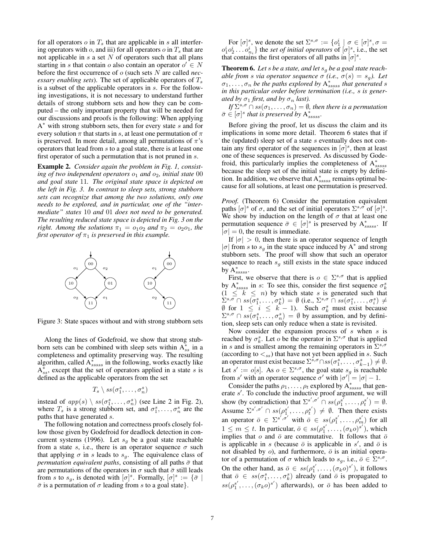for all operators  $o$  in  $T_s$  that are applicable in s all interfering operators with  $o$ , and iii) for all operators  $o$  in  $T<sub>s</sub>$  that are not applicable in  $s$  a set  $N$  of operators such that all plans starting in s that contain o also contain an operator  $o' \in N$ before the first occurrence of o (such sets N are called *necessary enabling sets*). The set of applicable operators of  $T_s$ is a subset of the applicable operators in s. For the following investigations, it is not necessary to understand further details of strong stubborn sets and how they can be computed – the only important property that will be needed for our discussions and proofs is the following: When applying A<sup>∗</sup> with strong stubborn sets, then for every state s and for every solution  $\pi$  that starts in s, at least one permutation of  $\pi$ is preserved. In more detail, among all permutations of  $\pi$ 's operators that lead from s to a goal state, there is at least one first operator of such a permutation that is not pruned in s.

Example 2. *Consider again the problem in Fig. 1, consisting of two independent operators*  $o_1$  *and*  $o_2$ *, initial state* 00 *and goal state* 11*. The original state space is depicted on the left in Fig. 3. In contrast to sleep sets, strong stubborn sets can recognize that among the two solutions, only one needs to be explored, and in particular, one of the "intermediate" states* 10 *and* 01 *does not need to be generated. The resulting reduced state space is depicted in Fig. 3 on the right. Among the solutions*  $\pi_1 = o_1 o_2$  *and*  $\pi_2 = o_2 o_1$ *, the first operator of*  $\pi_1$  *is preserved in this example.* 



Figure 3: State spaces without and with strong stubborn sets

Along the lines of Godefroid, we show that strong stubborn sets can be combined with sleep sets within  $A_{ss}^*$  in a completeness and optimality preserving way. The resulting algorithm, called  $A_{ssssss}^*$  in the following, works exactly like  $A_{ss}^*$ , except that the set of operators applied in a state s is defined as the applicable operators from the set

$$
T_s \setminus ss(\sigma_1^s, \ldots, \sigma_n^s)
$$

instead of  $app(s) \setminus ss(\sigma_1^s, \ldots, \sigma_n^s)$  (see Line 2 in Fig. 2),<br>where T is a strong stubborn set, and  $\sigma_s^s$  are the where  $T_s$  is a strong stubborn set, and  $\sigma_1^s, \ldots, \sigma_n^s$  are the paths that have generated s paths that have generated s.

The following notation and correctness proofs closely follow those given by Godefroid for deadlock detection in concurrent systems (1996). Let  $s_q$  be a goal state reachable from a state s, i.e., there is an operator sequence  $\sigma$  such that applying  $\sigma$  in s leads to  $s_g$ . The equivalence class of *permutation equivalent paths*, consisting of all paths  $\bar{\sigma}$  that are permutations of the operators in  $\sigma$  such that  $\bar{\sigma}$  still leads from s to s<sub>g</sub>, is denoted with  $[\sigma]^s$ . Formally,  $[\sigma]^s := {\bar{\sigma}} |$ <br> $\bar{\sigma}$  is a permutation of  $\sigma$  leading from s to a goal state.  $\bar{\sigma}$  is a permutation of  $\sigma$  leading from s to a goal state}.

For  $[\sigma]_s^s$ , we denote the set  $\Sigma^{s,\sigma} := {\{o_1^i \mid \sigma \in [\sigma]^{s}, \sigma = \phi\}}$  $o_1^i o_2^i \dots o_{n_i}^i$  the *set of initial operators* of  $[\sigma]^s$ , i.e., the set that contains the first operators of all paths in  $[\sigma]^s$ . that contains the first operators of all paths in  $[\sigma]^s$ .

Theorem 6. *Let* <sup>s</sup> *be a state, and let* <sup>s</sup>g *be a goal state reachable from s via operator sequence*  $\sigma$  *(i.e.,*  $\sigma(s) = s_g$ *). Let*  $\sigma_1, \ldots, \sigma_n$  be the paths explored by  $A_{ssass}^*$  that generated s<br>in this particular order before termination (i.e., s. is gener. *in this particular order before termination (i.e.,* s *is generated by*  $\sigma_1$  *first, and by*  $\sigma_n$  *last*).

*If*  $\Sigma^{s,\sigma} \cap ss(\sigma_1,\ldots,\sigma_n) = \emptyset$ *, then there is a permutation*  $\bar{\sigma} \in [\sigma]^s$  that is preserved by  $A^*_{sssss}$ .

Before giving the proof, let us discuss the claim and its implications in some more detail. Theorem 6 states that if the (updated) sleep set of a state s eventually does not contain any first operator of the sequences in  $[\sigma]^s$ , then at least one of these sequences is preserved. As discussed by Godefroid, this particularly implies the completeness of  $A_{ssssss}^*$ because the sleep set of the initial state is empty by definition. In addition, we observe that  $A_{ssss}^*$  remains optimal because for all solutions, at least one permutation is preserved.

*Proof.* (Theorem 6) Consider the permutation equivalent paths  $[\sigma]^{s}$  of  $\sigma$ , and the set of initial operators  $\Sigma^{s,\sigma}$  of  $[\sigma]^{s}$ . We show by induction on the length of  $\sigma$  that at least one permutation sequence  $\bar{\sigma} \in [\sigma]^s$  is preserved by  $A^*_{ssssss}$ . If  $|\sigma| = 0$ , the result is immediate.

If  $|\sigma| > 0$ , then there is an operator sequence of length  $|\sigma|$  from s to  $s_g$  in the state space induced by A<sup>\*</sup> and strong stubborn sets. The proof will show that such an operator sequence to reach  $s<sub>g</sub>$  still exists in the state space induced by  $\mathrm{A}^{*}_{sssss}$ .

First, we observe that there is  $o \in \Sigma^{s,\sigma}$  that is applied by  $A_{sssss}^{*}$  in s: To see this, consider the first sequence  $\sigma_{k}^{s}$  $(1 \leq k \leq n)$  by which state s is generated such that  $\sum_{i}^{s,\sigma} \cap ss(\sigma_1^s, \ldots, \sigma_k^s) = \emptyset$  (i.e.,  $\sum_{i}^{s,\sigma} \cap ss(\sigma_1^s, \ldots, \sigma_k^s) \neq \emptyset$  for  $1 \leq i \leq k-1$ ). Such  $\sigma_1^s$  must exist because  $\emptyset$  for  $1 \leq i \leq k - 1$ ). Such  $\sigma_k^s$  must exist because  $\Sigma^{s,\sigma} \cap ss(\sigma_k^s - \sigma_k^s) = \emptyset$  by assumption and by defini- $\Sigma^{s,\sigma} \cap ss(\sigma_1^s, \ldots, \sigma_n^s) = \emptyset$  by assumption, and by definition sleep sets can only reduce when a state is revisited tion, sleep sets can only reduce when a state is revisited.

Now consider the expansion process of  $s$  when  $s$  is reached by  $\sigma_k^s$ . Let *o* be the operator in  $\Sigma^{s,\sigma}$  that is applied<br>in *s* and is smallest among the remaining operators in  $\Sigma^{s,\sigma}$ in s and is smallest among the remaining operators in  $\Sigma^{s,\sigma}$ (according to  $\lt_{ss}$ ) that have not yet been applied in s. Such an operator must exist because  $\Sigma^{\tilde{s}, \sigma} \cap ss(\sigma_1^{\tilde{s}}, \ldots, \sigma_{k-1}^{\tilde{s}}) \neq \emptyset$ .<br>Let  $s' := \Omega[s]$ . As  $\alpha \in \Sigma^{s, \sigma}$  the goal state  $s$  is reachable Let  $s' := o[s]$ . As  $o \in \Sigma^{s,\sigma}$ , the goal state  $s_g$  is reachable from s' with an operator sequence  $\sigma'$  with  $|\sigma'| = |\sigma| - 1$ .

Consider the paths  $\rho_1, \ldots, \rho_t$  explored by  $A_{ssssss}^*$  that gen-<br>ste s' To conclude the inductive proof argument, we will erate s'. To conclude the inductive proof argument, we will show (by contradiction) that  $\Sigma^{s', \sigma'} \cap ss(\rho_1^{s'}, \ldots, \rho_t^{s'}) = \emptyset$ . Assume  $\Sigma^{s', \sigma'} \cap ss(\rho_1^{s'}, \ldots, \rho_t^{s'}) \neq \emptyset$ . Then there exists an operator  $\bar{o} \in \Sigma^{s',\sigma'}$  with  $\bar{o} \in ss(\rho_1^{s'},\ldots,\rho_m^{s'})$  for all  $1 \leq m \leq t$ . In pertial or  $\bar{o} \in ss(\rho_1^{s'},\ldots,\rho_m^{s'})$  which  $1 \leq m \leq t$ . In particular,  $\overline{\sigma} \in \text{ss}(\rho_1^{s'}, \ldots, (\sigma_k \rho)^{s'})$ , which implies that  $\overline{\sigma}$  and  $\overline{\overline{\sigma}}$  are commutative. It follows that  $\overline{\overline{\sigma}}$ implies that o and  $\bar{o}$  are commutative. It follows that  $\bar{o}$ is applicable in s (because  $\bar{o}$  is applicable in s', and  $\bar{o}$  is not disabled by  $o$ ), and furthermore,  $\bar{o}$  is an initial operator of a permutation of  $\sigma$  which leads to  $s_q$ , i.e.,  $\bar{\sigma} \in \Sigma^{s,\sigma}$ . On the other hand, as  $\overline{o} \in ss(\rho_1^{s'}, \ldots, (\sigma_k o)^{s'})$ , it follows<br>that  $\overline{o} \in ss(\sigma_1^{s'} \ldots, (\sigma_k o)^{s'})$  already (and  $\overline{o}$  is propagated to that  $\overline{o} \in ss(\sigma_1^s, \ldots, \sigma_k^s)$  already (and  $\overline{o}$  is propagated to  $\overline{o}(\sigma_1^s, \ldots, \sigma_k^s)$ ) afterwards), or  $\overline{a}$  has been odded to  $ss(\rho_1^{s'}, \ldots, (\sigma_k \rho)^{s'})$  afterwards), or  $\bar{\rho}$  has been added to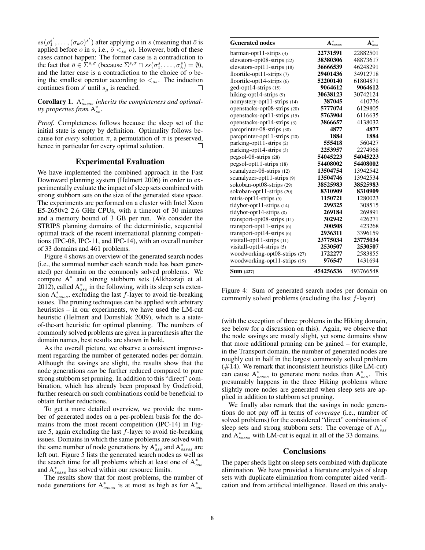$ss(\rho_1^{s'}, \ldots, (\sigma_k \rho)^{s'})$  after applying  $\rho$  in s (meaning that  $\overline{\rho}$  is applied before  $o$  in s, i.e.,  $\overline{o} \ltq_{ss} o$ ). However, both of these cases cannot happen: The former case is a contradiction to the fact that  $\bar{\sigma} \in \Sigma^{s,q}$  (because  $\Sigma^{s,q} \cap ss(\sigma_1^s, \ldots, \sigma_k^s) = \emptyset$ ), and the latter case is a contradiction to the choice of  $\alpha$  beand the latter case is a contradiction to the choice of  $o$  being the smallest operator according to  $\lt_{ss}$ . The induction continues from  $s'$  until  $s_q$  is reached.

Corollary 1. A<sup>\*</sup><sub>sssss</sub> inherits the completeness and optimal*ity properties from* A<sup>∗</sup> ss *.*

*Proof.* Completeness follows because the sleep set of the initial state is empty by definition. Optimality follows because for *every* solution  $\pi$ , a permutation of  $\pi$  is preserved, hence in particular for every optimal solution.  $\Box$ 

# Experimental Evaluation

We have implemented the combined approach in the Fast Downward planning system (Helmert 2006) in order to experimentally evaluate the impact of sleep sets combined with strong stubborn sets on the size of the generated state space. The experiments are performed on a cluster with Intel Xeon E5-2650v2 2.6 GHz CPUs, with a timeout of 30 minutes and a memory bound of 3 GB per run. We consider the STRIPS planning domains of the deterministic, sequential optimal track of the recent international planning competitions (IPC-08, IPC-11, and IPC-14), with an overall number of 33 domains and 461 problems.

Figure 4 shows an overview of the generated search nodes (i.e., the summed number each search node has been generated) per domain on the commonly solved problems. We compare A<sup>∗</sup> and strong stubborn sets (Alkhazraji et al. 2012), called  $A_{sss}^*$  in the following, with its sleep sets extension  $A_{ssssss}^*$ , excluding the last  $f$ -layer to avoid tie-breaking issues. The pruning techniques can be applied with arbitrary heuristics – in our experiments, we have used the LM-cut heuristic (Helmert and Domshlak 2009), which is a stateof-the-art heuristic for optimal planning. The numbers of commonly solved problems are given in parenthesis after the domain names, best results are shown in bold.

As the overall picture, we observe a consistent improvement regarding the number of generated nodes per domain. Although the savings are slight, the results show that the node generations *can* be further reduced compared to pure strong stubborn set pruning. In addition to this "direct" combination, which has already been proposed by Godefroid, further research on such combinations could be beneficial to obtain further reductions.

To get a more detailed overview, we provide the number of generated nodes on a per-problem basis for the domains from the most recent competition (IPC-14) in Figure 5, again excluding the last  $f$ -layer to avoid tie-breaking issues. Domains in which the same problems are solved with the same number of node generations by  $A_{ssss}^*$  and  $A_{ssssss}^*$  are left out. Figure 5 lists the generated search nodes as well as the search time for all problems which at least one of  $A_{sss}^*$ and  $A_{ssssss}^*$  has solved within our resource limits.

The results show that for most problems, the number of node generations for  $A_{ssss}^*$  is at most as high as for  $A_{ssss}^*$ 

| <b>Generated nodes</b>        | $\mathbf{A}^*_{sssss}$ | ${\bf A}^*_{sss}$ |
|-------------------------------|------------------------|-------------------|
| $barman-opt11-strips(4)$      | 22731591               | 22882501          |
| elevators-opt08-strips (22)   | 38380306               | 48873617          |
| elevators-opt11-strips (18)   | 36666539               | 46248291          |
| floortile-opt11-strips (7)    | 29401436               | 34912718          |
| floortile-opt14-strips (6)    | 52200140               | 61804871          |
| ged-opt14-strips (15)         | 9064612                | 9064612           |
| hiking-opt14-strips (9)       | 30638123               | 30742124          |
| nomystery-opt11-strips (14)   | 387045                 | 410776            |
| openstacks-opt08-strips (20)  | 5777074                | 6129805           |
| openstacks-opt11-strips (15)  | 5763904                | 6116635           |
| openstacks-opt14-strips (3)   | 3866657                | 4138032           |
| parcprinter-08-strips (30)    | 4877                   | 4877              |
| parcprinter-opt11-strips (20) | 1884                   | 1884              |
| parking-opt11-strips (2)      | 555418                 | 560427            |
| parking-opt14-strips (3)      | 2253957                | 2274968           |
| pegsol-08-strips (28)         | 54045223               | 54045223          |
| pegsol-opt11-strips (18)      | 54408002               | 54408002          |
| scanalyzer-08-strips (12)     | 13504754               | 13942542          |
| scanalyzer-opt11-strips (9)   | 13504746               | 13942534          |
| sokoban-opt08-strips (29)     | 38525983               | 38525983          |
| sokoban-opt11-strips (20)     | 8310909                | 8310909           |
| tetris-opt14-strips $(5)$     | 1150721                | 1280023           |
| tidybot-opt11-strips (14)     | 299325                 | 308515            |
| tidybot-opt14-strips (8)      | 269184                 | 269891            |
| $transport-opt08-strips(11)$  | 302942                 | 426271            |
| transport-opt11-strips (6)    | 300508                 | 423268            |
| transport-opt14-strips $(6)$  | 2936311                | 3396159           |
| visitall-opt11-strips $(11)$  | 23775034               | 23775034          |
| visitall-opt14-strips (5)     | 2530507                | 2530507           |
| woodworking-opt08-strips (27) | 1722277                | 2583855           |
| woodworking-opt11-strips (19) | 976547                 | 1431694           |
| <b>Sum</b> (427)              | 454256536              | 493766548         |

Figure 4: Sum of generated search nodes per domain on commonly solved problems (excluding the last  $f$ -layer)

(with the exception of three problems in the Hiking domain, see below for a discussion on this). Again, we observe that the node savings are mostly slight, yet some domains show that more additional pruning can be gained – for example, in the Transport domain, the number of generated nodes are roughly cut in half in the largest commonly solved problem (#14). We remark that inconsistent heuristics (like LM-cut) can cause  $A_{sssss}^*$  to generate more nodes than  $A_{sss}^*$ . This presumably happens in the three Hiking problems where slightly more nodes are generated when sleep sets are applied in addition to stubborn set pruning.

We finally also remark that the savings in node generations do not pay off in terms of *coverage* (i.e., number of solved problems) for the considered "direct" combination of sleep sets and strong stubborn sets: The coverage of  $A_{sss}^*$ and  $A_{ssssss}^*$  with LM-cut is equal in all of the 33 domains.

#### **Conclusions**

The paper sheds light on sleep sets combined with duplicate elimination. We have provided a literature analysis of sleep sets with duplicate elimination from computer aided verification and from artificial intelligence. Based on this analy-